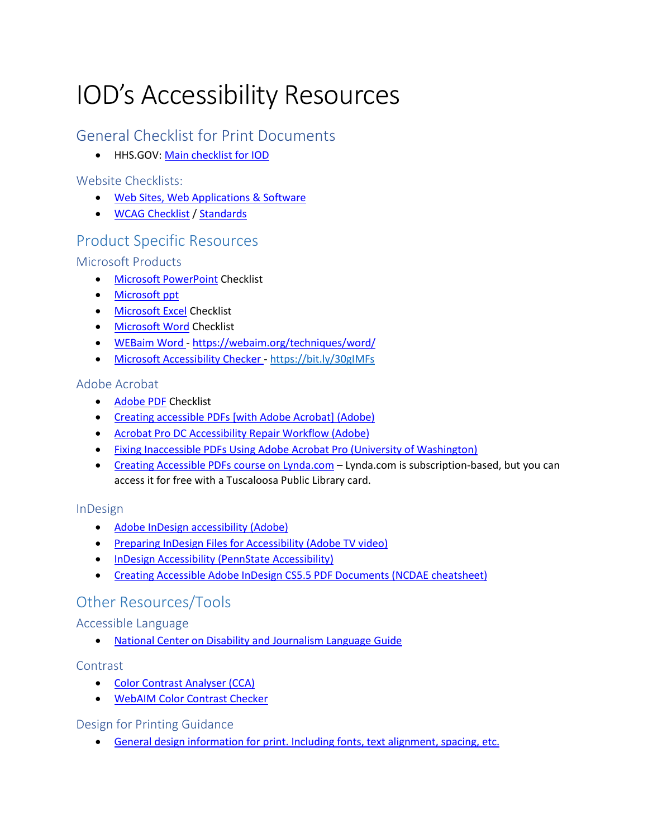# IOD's Accessibility Resources

# General Checklist for Print Documents

• HHS.GOV[: Main checklist for IOD](https://unh.box.com/s/spv2f2jqagy9t2cqazlg3jwvdwenvs9b)

## Website Checklists:

- [Web Sites, Web Applications & Software](https://www.hhs.gov/sites/default/files/hhs-508-webapps-checklist.xlsx)
- [WCAG Checklist](https://webaim.org/standards/wcag/WCAG2Checklist.pdf) [/ Standards](https://webaim.org/standards/wcag/WCAG2Checklist.pdf)

## Product Specific Resources

Microsoft Products

- [Microsoft PowerPoint](https://www.hhs.gov/sites/default/files/hhs-508-powerpoint-checklist.xlsx) Checklist
- [Microsoft ppt](https://support.microsoft.com/en-us/office/make-your-powerpoint-presentations-accessible-to-people-with-disabilities-6f7772b2-2f33-4bd2-8ca7-dae3b2b3ef25)
- [Microsoft Excel](https://www.hhs.gov/sites/default/files/hhs-508-excel-checklist.xlsx) Checklist
- [Microsoft Word](https://www.hhs.gov/sites/default/files/hhs-508-word-checklist.xlsx) Checklist
- [WEBaim Word](https://webaim.org/techniques/word/) <https://webaim.org/techniques/word/>
- [Microsoft Accessibility Checker](file:///C:/Users/deodonneb/OneDrive%20-%20Disability%20Rights%20Center%20-%20New%20Hampshire,%20Inc/Downloads/Microsoft%20Accessibility%20Checker ) <https://bit.ly/30gIMFs>

## Adobe Acrobat

- [Adobe PDF](https://www.hhs.gov/sites/default/files/hhs-508-pdf-checklist.xlsx) Checklist
- [Creating accessible PDFs \[with Adobe Acrobat\] \(Adobe\)](https://helpx.adobe.com/acrobat/using/creating-accessible-pdfs.html)
- [Acrobat Pro DC Accessibility Repair Workflow \(Adobe\)](https://www.adobe.com/accessibility/products/acrobat/acrobat-pro-dc-pdf-accessibility-repair-workflow.html)
- [Fixing Inaccessible PDFs Using Adobe Acrobat Pro \(University of Washington\)](http://www.washington.edu/accessibility/documents/pdf-acrobat/)
- [Creating Accessible PDFs course on Lynda.com](https://www.lynda.com/Acrobat-tutorials/Creating-Accessible-PDFs/669540-2.html) Lynda.com is subscription-based, but you can access it for free with a Tuscaloosa Public Library card.

#### **InDesign**

- Adobe InDesign [accessibility \(Adobe\)](https://www.adobe.com/accessibility/products/indesign.html)
- [Preparing InDesign Files for Accessibility \(Adobe TV video\)](https://tv.adobe.com/watch/accessibility-adobe/preparing-indesign-files-for-accessibility/)
- [InDesign Accessibility \(PennState](http://accessibility.psu.edu/pdf/indesign/) Accessibility)
- Creating [Accessible Adobe InDesign CS5.5 PDF Documents \(NCDAE](http://ncdae.org/resources/cheatsheets/indesign.php) cheatsheet)

## Other Resources/Tools

## Accessible Language

• [National Center on Disability and Journalism Language Guide](https://ncdj.org/style-guide/)

## Contrast

- [Color Contrast](https://developer.paciellogroup.com/resources/contrastanalyser/) Analyser (CCA)
- WebAIM [Color Contrast Checker](https://webaim.org/resources/contrastchecker/)

#### Design for Printing Guidance

• [General design information for print. Including fonts, text alignment, spacing, etc.](https://www.zaginteractive.com/insights/february-2020/making-your-printed-materials-ada-accessible)